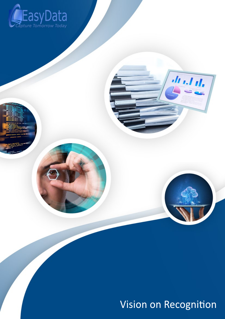

Vision on Recognition

*<u>II*</u> *II II*,